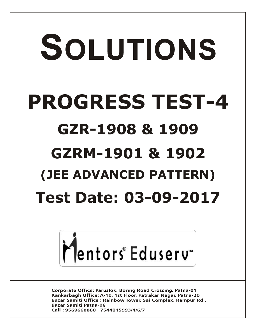## SOLUTIONS **PROGRESS TEST-4 GZR-1908 & 1909 GZRM-1901 & 1902 (JEE ADVANCED PATTERN) Test Date: 03-09-2017**



**Corporate Office: Paruslok, Boring Road Crossing, Patna-01** Kankarbagh Office: A-10, 1st Floor, Patrakar Nagar, Patna-20 Bazar Samiti Office: Rainbow Tower, Sai Complex, Rampur Rd., **Bazar Samiti Patna-06** Call: 9569668800 | 7544015993/4/6/7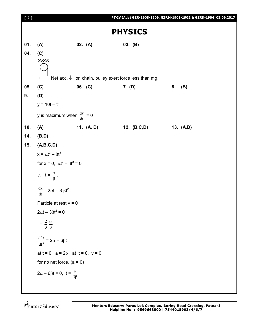| [2] |                                                          |         |            |                                                                  |    | PT-IV (Adv) GZR-1908-1909, GZRM-1901-1902 & GZRK-1904_03.09.2017 |
|-----|----------------------------------------------------------|---------|------------|------------------------------------------------------------------|----|------------------------------------------------------------------|
|     |                                                          |         |            | <b>PHYSICS</b>                                                   |    |                                                                  |
| 01. | (A)                                                      | 02. (A) |            | 03. (B)                                                          |    |                                                                  |
| 04. | (C)                                                      |         |            |                                                                  |    |                                                                  |
|     | $\overline{\bigoplus}$                                   |         |            | Net acc. $\downarrow$ on chain, pulley exert force less than mg. |    |                                                                  |
| 05. | (C)                                                      | 06. (C) |            | 7. (D)                                                           | 8. | (B)                                                              |
| 9.  | (D)                                                      |         |            |                                                                  |    |                                                                  |
|     | $y = 10t - t^2$                                          |         |            |                                                                  |    |                                                                  |
|     | y is maximum when $\frac{dy}{dt} = 0$                    |         |            |                                                                  |    |                                                                  |
| 10. | (A)                                                      |         | 11. (A, D) | 12. (B,C,D)                                                      |    | 13. (A,D)                                                        |
| 14. | (B,D)                                                    |         |            |                                                                  |    |                                                                  |
| 15. | (A,B,C,D)                                                |         |            |                                                                  |    |                                                                  |
|     | $x = \alpha t^2 - \beta t^3$                             |         |            |                                                                  |    |                                                                  |
|     | for $x = 0$ , $\alpha t^2 - \beta t^3 = 0$               |         |            |                                                                  |    |                                                                  |
|     | $\therefore$ t = $\frac{\alpha}{\beta}$ .                |         |            |                                                                  |    |                                                                  |
|     | $\frac{dx}{dt} = 2\alpha t - 3 \beta t^2$                |         |            |                                                                  |    |                                                                  |
|     | Particle at rest $v = 0$                                 |         |            |                                                                  |    |                                                                  |
|     | $2\alpha t-3\beta t^2=0$                                 |         |            |                                                                  |    |                                                                  |
|     | $t = \frac{2}{3} \frac{\alpha}{\beta}$                   |         |            |                                                                  |    |                                                                  |
|     | $\frac{d^2x}{dt^2} = 2\alpha - 6\beta t$                 |         |            |                                                                  |    |                                                                  |
|     | at $t = 0$ a = 2 $\alpha$ , at $t = 0$ , $v = 0$         |         |            |                                                                  |    |                                                                  |
|     | for no net force, $(a = 0)$                              |         |            |                                                                  |    |                                                                  |
|     | $2\alpha - 6\beta t = 0$ , $t = \frac{\alpha}{3\beta}$ . |         |            |                                                                  |    |                                                                  |
|     |                                                          |         |            |                                                                  |    |                                                                  |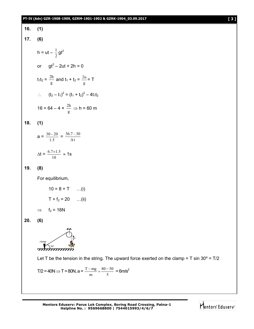## **PT-IV (Adv) GZR-1908-1909, GZRM-1901-1902 & GZRK-1904\_03.09.2017 [ 3 ]**

16. (1)  
\n17. (6)  
\n
$$
h = ut - \frac{1}{2}gt^2
$$
\nor 
$$
gt^2 - 2ut + 2h = 0
$$
\nt<sub>1</sub>t<sub>2</sub> =  $\frac{2h}{g}$  and  $t_1 + t_2 = \frac{2u}{g} = T$   
\n
$$
\therefore (t_2 - t_1)^2 = (t_1 + t_2)^2 - 4t_1t_2
$$
\n16 = 64 - 4 ×  $\frac{2h}{g}$  ⇒ h = 60 m  
\n18. (1)  
\na =  $\frac{30 - 20}{1.5} = \frac{36.7 - 30}{\Delta t}$   
\n
$$
\Delta t = \frac{6.7 \times 1.5}{10} \approx 1s
$$
\n19. (8)  
\nFor equilibrium,  
\n10 = 8 + T ... (i)

$$
T + f_2 = 20 \qquad ...(ii)
$$
  
\n
$$
\Rightarrow \qquad f_2 = 18N
$$

**20. (6)**



Let T be the tension in the string. The upward force exerted on the clamp = T sin  $30^{\circ}$  = T/2

$$
T/2 = 40N \Rightarrow T = 80N, a = \frac{T - mg}{m} = \frac{80 - 50}{5} = 6m/s^2
$$

**Mentors Eduserv: Parus Lok Complex, Boring Road Crossing, Patna-1 Helpline No. : 9569668800 | 7544015993/4/6/7**

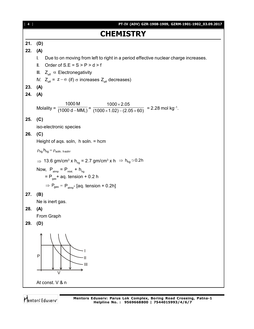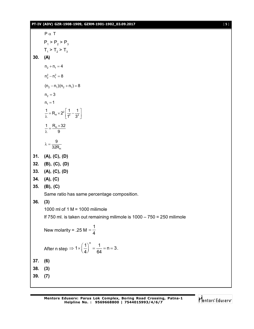## **PT-IV (ADV) GZR-1908-1909, GZRM-1901-1902\_03.09.2017** [ **5** ]

P<sub>1</sub> > P<sub>2</sub> > P<sub>3</sub>  
\nT<sub>1</sub> > T<sub>2</sub> > T<sub>3</sub>  
\n30. (A)  
\n
$$
n_2 + n_1 = 4
$$
  
\n $n_2^2 - n_1^2 = 8$   
\n $(n_2 - n_1)(n_2 + n_1) = 8$   
\n $n_2 = 3$   
\n $n_1 = 1$   
\n $\frac{1}{\lambda} = R_{11} \times 2^2 \left[ \frac{1}{1} - \frac{1}{3^2} \right]$   
\n $\frac{1}{\lambda} = \frac{R_{11} \times 32}{9}$   
\n $\lambda = \frac{9}{32R_{11}}$   
\n31. (A), (C), (D)  
\n32. (B), (C), (D)  
\n33. (A), (C), (D)  
\n34. (A), (C), (D)  
\n35. (B), (C)  
\nSame ratio has same percentage composition.  
\n36. (3)  
\n1000 ml of 1 M = 1000 milimole  
\nIf 750 ml. is taken out remaining milimole is 1000 – 750 = 250 milimole  
\nNew molarity = .25 M =  $\frac{1}{4}$   
\nAfter n step  $\Rightarrow 1 \times \left(\frac{1}{4}\right)^n = \frac{1}{64} = n = 3$ .  
\n37. (6)  
\n38. (3)  
\n39. (7)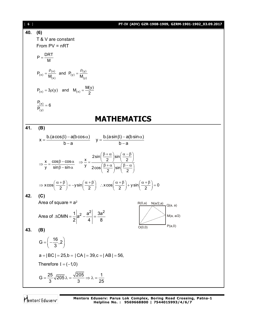| [6] | PT-IV (ADV) GZR-1908-1909, GZRM-1901-1902_03.09.2017                                                                                                                                                                                                                                        |  |  |  |  |  |
|-----|---------------------------------------------------------------------------------------------------------------------------------------------------------------------------------------------------------------------------------------------------------------------------------------------|--|--|--|--|--|
| 40. | (6)                                                                                                                                                                                                                                                                                         |  |  |  |  |  |
|     | T & V are constant                                                                                                                                                                                                                                                                          |  |  |  |  |  |
|     | From $PV = nRT$                                                                                                                                                                                                                                                                             |  |  |  |  |  |
|     |                                                                                                                                                                                                                                                                                             |  |  |  |  |  |
|     | $P = \frac{DRT}{M}$                                                                                                                                                                                                                                                                         |  |  |  |  |  |
|     | $P_{(x)} = \frac{P(x)}{M_{(x)}}$ and $P_{(y)} = \frac{P(y)}{M_{(y)}}$                                                                                                                                                                                                                       |  |  |  |  |  |
|     | $P_{(x)} = 3\rho(y)$ and $M_{(x)} = \frac{M(y)}{2}$                                                                                                                                                                                                                                         |  |  |  |  |  |
|     | $\frac{P(x)}{P_{(v)}} = 6$                                                                                                                                                                                                                                                                  |  |  |  |  |  |
|     | MATHEMATICS                                                                                                                                                                                                                                                                                 |  |  |  |  |  |
| 41. | (B)                                                                                                                                                                                                                                                                                         |  |  |  |  |  |
|     | $x = {b.(a cos \beta) - a(b cos \alpha) \over b-a}$ $y = {b.(a sin \beta) - a(b sin \alpha) \over b-a}$                                                                                                                                                                                     |  |  |  |  |  |
|     | $\Rightarrow \frac{x}{y} = \frac{\cos\beta - \cos\alpha}{\sin\beta - \sin\alpha} \Rightarrow \frac{x}{y} = \frac{2\sin\left(\frac{\beta + \alpha}{2}\right)\sin\left(\frac{\alpha - \beta}{2}\right)}{2\cos\left(\frac{\beta + \alpha}{2}\right)\sin\left(\frac{\beta - \alpha}{2}\right)}$ |  |  |  |  |  |
|     | $\Rightarrow$ x cos $\left(\frac{\alpha+\beta}{2}\right)$ = $-y\sin\left(\frac{\alpha+\beta}{2}\right)$ : x cos $\left(\frac{\alpha+\beta}{2}\right)$ + y sin $\left(\frac{\alpha+\beta}{2}\right)$ = 0                                                                                     |  |  |  |  |  |
| 42. | (C)                                                                                                                                                                                                                                                                                         |  |  |  |  |  |
|     | Area of square = $a^2$<br>$\overline{R(0,a)}$ N(a/2,a)<br>$Q(a, a)$                                                                                                                                                                                                                         |  |  |  |  |  |
|     | Area of $\triangle OMN = \frac{1}{2}  a^2 - \frac{a^2}{4}  = \frac{3a^2}{8}$<br>M(a, a/2)                                                                                                                                                                                                   |  |  |  |  |  |
| 43. | P(a,0)<br>O(0,0)<br>(B)                                                                                                                                                                                                                                                                     |  |  |  |  |  |
|     | $G = \left(-\frac{16}{3}, 2\right)$                                                                                                                                                                                                                                                         |  |  |  |  |  |
|     | $a =  BC  = 25, b =  CA  = 39, c =  AB  = 56,$                                                                                                                                                                                                                                              |  |  |  |  |  |
|     | Therefore $I = (-1,0)$                                                                                                                                                                                                                                                                      |  |  |  |  |  |
|     | G = $\frac{25}{3}\sqrt{205}$ $\lambda = \frac{\sqrt{205}}{3}$ $\Rightarrow \lambda = \frac{1}{25}$                                                                                                                                                                                          |  |  |  |  |  |

Mentors<sup>®</sup> Eduserv<sup>®</sup>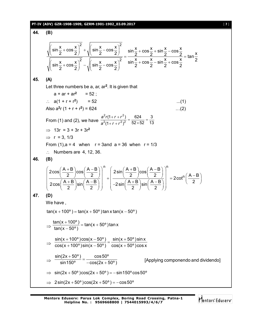## **PT-IV (ADV) GZR-1908-1909, GZRM-1901-1902\_03.09.2017** [ **7** ]

**44. (B)** 2  $(x - x)^2$ 2  $(x + y)^2$  $\frac{\sin\frac{x}{2} + \cos\frac{x}{2}\big)^2 + \sqrt{\left(\sin\frac{x}{2} - \cos\frac{x}{2}\right)^2}}{\sin\frac{x}{2} + \cos\frac{x}{2}\big)^2 - \sqrt{\left(\sin\frac{x}{2} - \cos\frac{x}{2}\right)^2}} = \frac{\sin\frac{x}{2} + \cos\frac{x}{2} + \sin\frac{x}{2} - \cos\frac{x}{2}}{\sin\frac{x}{2} + \cos\frac{x}{2}\big)^2} = \tan\frac{x}{2}$  $\frac{\left(\sin\frac{x}{2}+\cos\frac{x}{2}\right)^2+\sqrt{\left(\sin\frac{x}{2}-\cos\frac{x}{2}\right)^2}}{\sqrt{\left(\sin\frac{x}{2}-\cos\frac{x}{2}\right)^2}}=\frac{\sin\frac{x}{2}+\cos\frac{x}{2}+\sin\frac{x}{2}-\cos\frac{x}{2}}{\frac{x}{2}-\cos\frac{x}{2}}=1$  $\left(\sin\frac{x}{2}+\cos\frac{x}{2}\right)^2-\sqrt{\left(\sin\frac{x}{2}-\cos\frac{x}{2}\right)^2}$   $\sin\frac{x}{2}+\cos\frac{x}{2}-\sin\frac{x}{2}+\cos\frac{x}{2}$ **45. (A)** Let three numbers be a, ar, ar**<sup>2</sup>** . It is given that  $a + ar + ar^2 = 52$ ;  $\therefore$  a(1 + r + r<sup>2</sup>) = 52 ...(1) Also  $a^2r(1 + r + r^2) = 624$  ....(2) From (1) and (2), we have  $\frac{1}{a^2(1+r+r^2)^2} = \frac{1}{52\times52} = \frac{1}{13}$ 3  $52\times 52$ 624  $(1 + r + r^2)$  $(1 + r + r^2)$  $2(1 + r + r^2)^2$  $2r/1 + r + r^2$  $=\frac{624}{52 \times 52}$  $+r+$  $+ r +$ *a*<sup>2</sup>(1+*r* +*r*  $a^2r(1+r+r)$  $\implies$  13r = 3 + 3r + 3r<sup>2</sup>  $\Rightarrow$  r = 3, 1/3 From (1),  $a = 4$  when  $r = 3$  and  $a = 36$  when  $r = 1/3$  $\therefore$  Numbers are 4, 12, 36. **46. (B)**  $n \sim (1.5) (1.5)^n$ n  $\left(\frac{A+B}{2}\right)\cos\left(\frac{A-B}{2}\right)$   $\left(2\sin\left(\frac{A+B}{2}\right)\cos\left(\frac{A-B}{2}\right)\right)$  $\left| \frac{2}{\sqrt{2}} \right| + \left| \frac{-\ln(2)}{2} \right| = 2 \cot^{n} \left( \frac{A-B}{2} \right)$  $\left(\frac{A+B}{2}\right)\sin\left(\frac{A-B}{2}\right)\left|\right|^{2}-2\sin\left(\frac{A+B}{2}\right)\sin\left(\frac{A-B}{2}\right)\left|\right|^{2}$ 2  $\left(\begin{array}{c} 2 \end{array}\right)$   $\left(\begin{array}{c} -1 \end{array}\right)$  2  $\left(\begin{array}{c} 2 \end{array}\right)$  2  $\left(\frac{2\cos\left(\frac{A+B}{2}\right)\cos\left(\frac{A-B}{2}\right)}{2}\right)^{n} + \left(\frac{2\sin\left(\frac{A+B}{2}\right)\cos\left(\frac{A-B}{2}\right)}{2}\right)^{n} - 2\cot^{n}\left(\frac{A-B}{2}\right)^{n}$  $\left(\frac{A+B}{2}\right)\sin\left(\frac{A-B}{2}\right)\right|$  +  $\left|\frac{2}{-2\sin\left(\frac{A+B}{2}\right)\sin\left(\frac{A-B}{2}\right)}\right|$  = 2cot<sup>(1</sup>)  $\left(\frac{15}{2}\right)$  $(2)(2)(2)(2)(2)$ **47. (D)** We have ,  $tan(x + 100^{\circ}) = tan(x + 50^{\circ}) tan x tan(x - 50^{\circ})$  $\Rightarrow \frac{\tan(x+100^{\circ})}{\tan(x-50^{\circ})} = \tan(x+50^{\circ})\tan x$ tan(x – 50° )  $\frac{+100^{\circ}}{200}$  = tan(x + \;  $\overline{a}$  $\Rightarrow$  $sin(x + 100^{\circ})cos(x - 50^{\circ})$   $sin(x + 50^{\circ})sin x$  $cos(x+100^{\circ})sin(x-50^{\circ}) cos(x+50^{\circ})cos x$  $\frac{+100^{\circ}}{1000}$   $\cos(x-50^{\circ})$  =  $\frac{\sin(x+50^{\circ})}{(x-50^{\circ})}$  $+$  100° ) sin(x  $-$  50° )  $\quad$  cos(x  $+$   $\cdot$  $\Rightarrow$  $\mathsf{sin}(2\mathsf{x}+50^\mathsf{o}) \qquad \quad \mathsf{cos}\,50^\mathsf{o}$  $sin 150^\circ$   $-cos(2x + 50^\circ)$  $\frac{+50^{\circ}}{200}$  =  $-\cos(2\mathsf{x}+\mathsf{t}% )\mathsf{a}$ [Applying componendo and dividendo]  $\Rightarrow$  sin(2x + 50<sup>o</sup>)cos(2x + 50<sup>o</sup>) = -sin150<sup>o</sup> cos 50<sup>o</sup>  $\Rightarrow$  2sin(2x + 50<sup>o</sup>)cos(2x + 50<sup>o</sup>) = -cos 50<sup>o</sup>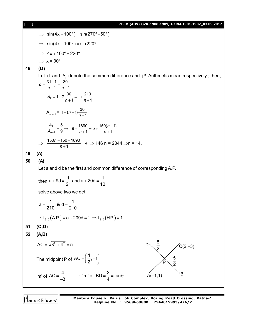| 8 <sup>1</sup> | PT-IV (ADV) GZR-1908-1909, GZRM-1901-1902_03.09.2017                                                      |  |  |  |  |  |  |
|----------------|-----------------------------------------------------------------------------------------------------------|--|--|--|--|--|--|
|                | $\implies$ sin(4x + 100°) = sin(270° -50°)                                                                |  |  |  |  |  |  |
|                | $\Rightarrow$ sin(4x + 100°) = sin220°                                                                    |  |  |  |  |  |  |
|                | $\Rightarrow$ 4x + 100° = 220°                                                                            |  |  |  |  |  |  |
|                | $\Rightarrow$ x = 30°                                                                                     |  |  |  |  |  |  |
| 48.            | (D)                                                                                                       |  |  |  |  |  |  |
|                | Let d and $A_i$ denote the common difference and $jth$ Arithmetic mean respectively; then,                |  |  |  |  |  |  |
|                | $d = \frac{31-1}{n+1} = \frac{30}{n+1}$                                                                   |  |  |  |  |  |  |
|                | $A_7 = 1 + 7 \frac{30}{n+1} = 1 + \frac{210}{n+1}$                                                        |  |  |  |  |  |  |
|                | $A_{n-1} = 1 + (n-1)\frac{30}{n+1}$                                                                       |  |  |  |  |  |  |
|                | $\frac{A_7}{A_{2}+1} = \frac{5}{9} \implies 9 + \frac{1890}{n+1} = 5 + \frac{150(n-1)}{n+1}$              |  |  |  |  |  |  |
|                | $\Rightarrow \frac{150n-150-1890}{n+1} = 4 \Rightarrow 146 \text{ n } = 2044 \Rightarrow \text{n } = 14.$ |  |  |  |  |  |  |
| 49.            | (A)                                                                                                       |  |  |  |  |  |  |
| 50.            | (A)                                                                                                       |  |  |  |  |  |  |
|                | Let a and d be the first and common difference of corresponding A.P.                                      |  |  |  |  |  |  |
|                | then $a + 9d = \frac{1}{21}$ and $a + 20d = \frac{1}{10}$                                                 |  |  |  |  |  |  |
|                | solve above two we get                                                                                    |  |  |  |  |  |  |
|                | $a = \frac{1}{210}$ & $d = \frac{1}{210}$                                                                 |  |  |  |  |  |  |
|                | : $t_{210}$ (A.P.) = a + 209d = 1 $\Rightarrow$ $t_{210}$ (H.P.) = 1                                      |  |  |  |  |  |  |
| 51.            | (C,D)                                                                                                     |  |  |  |  |  |  |
| 52.            | (A, B)                                                                                                    |  |  |  |  |  |  |
|                | $AC = \sqrt{3^2 + 4^2} = 5$<br>$C(2,-3)$                                                                  |  |  |  |  |  |  |
|                | The midpoint P of AC = $\left(\frac{1}{2},-1\right)$<br>$rac{5}{2}$                                       |  |  |  |  |  |  |
|                | 'm' of AC = $\frac{4}{-3}$ : 'm' of BD = $\frac{3}{4}$ = tan $\theta$<br>$A(-1,1)$                        |  |  |  |  |  |  |

Mentors<sup>®</sup> Eduserv<sup>®</sup>

**Mentors Eduserv: Parus Lok Complex, Boring Road Crossing, Patna-1 Helpline No. : 9569668800 | 7544015993/4/6/7**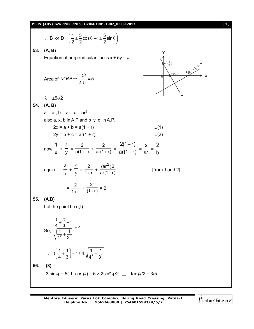

**Mentors Eduserv: Parus Lok Complex, Boring Road Crossing, Patna-1 Helpline No. : 9569668800 | 7544015993/4/6/7**